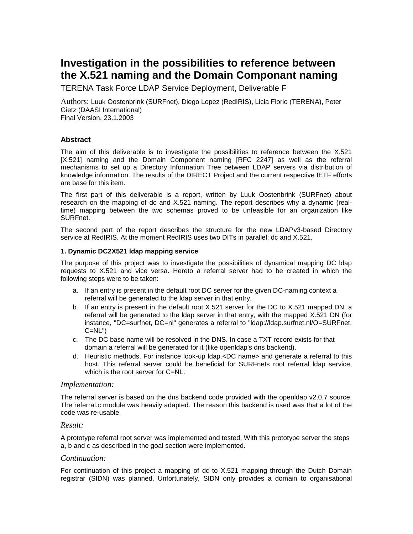# **Investigation in the possibilities to reference between the X.521 naming and the Domain Componant naming**

TERENA Task Force LDAP Service Deployment, Deliverable F

Authors: Luuk Oostenbrink (SURFnet), Diego Lopez (RedIRIS), Licia Florio (TERENA), Peter Gietz (DAASI International) Final Version, 23.1.2003

## **Abstract**

The aim of this deliverable is to investigate the possibilities to reference between the X.521 [X.521] naming and the Domain Component naming [RFC 2247] as well as the referral mechanisms to set up a Directory Information Tree between LDAP servers via distribution of knowledge information. The results of the DIRECT Project and the current respective IETF efforts are base for this item.

The first part of this deliverable is a report, written by Luuk Oostenbrink (SURFnet) about research on the mapping of dc and X.521 naming. The report describes why a dynamic (realtime) mapping between the two schemas proved to be unfeasible for an organization like SURFnet.

The second part of the report describes the structure for the new LDAPv3-based Directory service at RedIRIS. At the moment RedIRIS uses two DITs in parallel: dc and X.521.

#### **1. Dynamic DC2X521 ldap mapping service**

The purpose of this project was to investigate the possibilities of dynamical mapping DC ldap requests to X.521 and vice versa. Hereto a referral server had to be created in which the following steps were to be taken:

- a. If an entry is present in the default root DC server for the given DC-naming context a referral will be generated to the ldap server in that entry.
- b. If an entry is present in the default root X.521 server for the DC to X.521 mapped DN, a referral will be generated to the ldap server in that entry, with the mapped X.521 DN (for instance, "DC=surfnet, DC=nl" generates a referral to "ldap://ldap.surfnet.nl/O=SURFnet,  $C=NL"$
- c. The DC base name will be resolved in the DNS. In case a TXT record exists for that domain a referral will be generated for it (like openldap's dns backend).
- d. Heuristic methods. For instance look-up ldap.<DC name> and generate a referral to this host. This referral server could be beneficial for SURFnets root referral ldap service, which is the root server for C=NL.

#### *Implementation:*

The referral server is based on the dns backend code provided with the openldap v2.0.7 source. The referral.c module was heavily adapted. The reason this backend is used was that a lot of the code was re-usable.

#### *Result:*

A prototype referral root server was implemented and tested. With this prototype server the steps a, b and c as described in the goal section were implemented.

#### *Continuation:*

For continuation of this project a mapping of dc to X.521 mapping through the Dutch Domain registrar (SIDN) was planned. Unfortunately, SIDN only provides a domain to organisational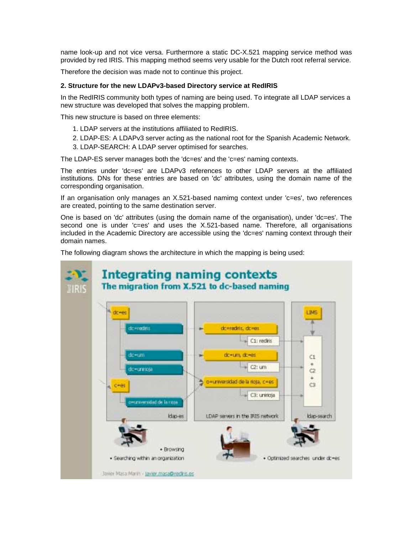name look-up and not vice versa. Furthermore a static DC-X.521 mapping service method was provided by red IRIS. This mapping method seems very usable for the Dutch root referral service.

Therefore the decision was made not to continue this project.

## **2. Structure for the new LDAPv3-based Directory service at RedIRIS**

In the RedIRIS community both types of naming are being used. To integrate all LDAP services a new structure was developed that solves the mapping problem.

This new structure is based on three elements:

- 1. LDAP servers at the institutions affiliated to RedIRIS.
- 2. LDAP-ES: A LDAPv3 server acting as the national root for the Spanish Academic Network.
- 3. LDAP-SEARCH: A LDAP server optimised for searches.

The LDAP-ES server manages both the 'dc=es' and the 'c=es' naming contexts.

The entries under 'dc=es' are LDAPv3 references to other LDAP servers at the affiliated institutions. DNs for these entries are based on 'dc' attributes, using the domain name of the corresponding organisation.

If an organisation only manages an X.521-based namimg context under 'c=es', two references are created, pointing to the same destination server.

One is based on 'dc' attributes (using the domain name of the organisation), under 'dc=es'. The second one is under 'c=es' and uses the X.521-based name. Therefore, all organisations included in the Academic Directory are accessible using the 'dc=es' naming context through their domain names.

The following diagram shows the architecture in which the mapping is being used: